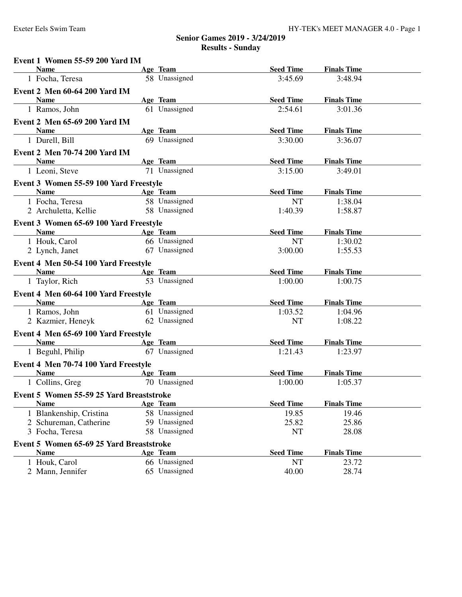| Event 1 Women 55-59 200 Yard IM          |               |                  |                    |  |
|------------------------------------------|---------------|------------------|--------------------|--|
| <b>Name</b>                              | Age Team      | <b>Seed Time</b> | <b>Finals Time</b> |  |
| 1 Focha, Teresa                          | 58 Unassigned | 3:45.69          | 3:48.94            |  |
| <b>Event 2 Men 60-64 200 Yard IM</b>     |               |                  |                    |  |
| <b>Name</b>                              | Age Team      | <b>Seed Time</b> | <b>Finals Time</b> |  |
| 1 Ramos, John                            | 61 Unassigned | 2:54.61          | 3:01.36            |  |
| Event 2 Men 65-69 200 Yard IM            |               |                  |                    |  |
| <b>Name</b>                              | Age Team      | <b>Seed Time</b> | <b>Finals Time</b> |  |
| 1 Durell, Bill                           | 69 Unassigned | 3:30.00          | 3:36.07            |  |
| Event 2 Men 70-74 200 Yard IM            |               |                  |                    |  |
| <b>Name</b>                              | Age Team      | <b>Seed Time</b> | <b>Finals Time</b> |  |
| 1 Leoni, Steve                           | 71 Unassigned | 3:15.00          | 3:49.01            |  |
| Event 3 Women 55-59 100 Yard Freestyle   |               |                  |                    |  |
| <b>Name</b>                              | Age Team      | <b>Seed Time</b> | <b>Finals Time</b> |  |
| 1 Focha, Teresa                          | 58 Unassigned | <b>NT</b>        | 1:38.04            |  |
| 2 Archuletta, Kellie                     | 58 Unassigned | 1:40.39          | 1:58.87            |  |
| Event 3 Women 65-69 100 Yard Freestyle   |               |                  |                    |  |
| <b>Name</b>                              | Age Team      | <b>Seed Time</b> | <b>Finals Time</b> |  |
| 1 Houk, Carol                            | 66 Unassigned | <b>NT</b>        | 1:30.02            |  |
| 2 Lynch, Janet                           | 67 Unassigned | 3:00.00          | 1:55.53            |  |
| Event 4 Men 50-54 100 Yard Freestyle     |               |                  |                    |  |
| <b>Name</b>                              | Age Team      | <b>Seed Time</b> | <b>Finals Time</b> |  |
| 1 Taylor, Rich                           | 53 Unassigned | 1:00.00          | 1:00.75            |  |
| Event 4 Men 60-64 100 Yard Freestyle     |               |                  |                    |  |
| <b>Name</b>                              | Age Team      | <b>Seed Time</b> | <b>Finals Time</b> |  |
| 1 Ramos, John                            | 61 Unassigned | 1:03.52          | 1:04.96            |  |
| 2 Kazmier, Heneyk                        | 62 Unassigned | <b>NT</b>        | 1:08.22            |  |
| Event 4 Men 65-69 100 Yard Freestyle     |               |                  |                    |  |
| <b>Name</b>                              | Age Team      | <b>Seed Time</b> | <b>Finals Time</b> |  |
| 1 Beguhl, Philip                         | 67 Unassigned | 1:21.43          | 1:23.97            |  |
| Event 4 Men 70-74 100 Yard Freestyle     |               |                  |                    |  |
| <b>Example 2</b> Age Team<br><b>Name</b> |               | <b>Seed Time</b> | <b>Finals Time</b> |  |
| 1 Collins, Greg                          | 70 Unassigned | 1:00.00          | 1:05.37            |  |
| Event 5 Women 55-59 25 Yard Breaststroke |               |                  |                    |  |
| <b>Name</b>                              | Age Team      | <b>Seed Time</b> | <b>Finals Time</b> |  |
| 1 Blankenship, Cristina                  | 58 Unassigned | 19.85            | 19.46              |  |
| 2 Schureman, Catherine                   | 59 Unassigned | 25.82            | 25.86              |  |
| 3 Focha, Teresa                          | 58 Unassigned | NT               | 28.08              |  |
| Event 5 Women 65-69 25 Yard Breaststroke |               |                  |                    |  |
| <b>Name</b>                              | Age Team      | <b>Seed Time</b> | <b>Finals Time</b> |  |
| 1 Houk, Carol                            | 66 Unassigned | <b>NT</b>        | 23.72              |  |
| 2 Mann, Jennifer                         | 65 Unassigned | 40.00            | 28.74              |  |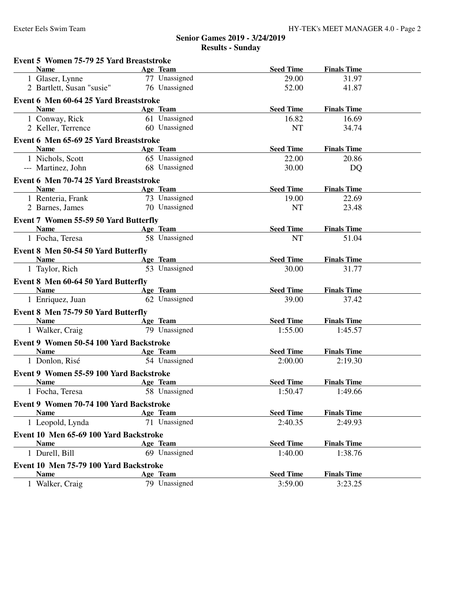| Event 5 Women 75-79 25 Yard Breaststroke |                           |                  |                    |  |
|------------------------------------------|---------------------------|------------------|--------------------|--|
| <b>Name</b>                              | Age Team                  | <b>Seed Time</b> | <b>Finals Time</b> |  |
| 1 Glaser, Lynne                          | 77 Unassigned             | 29.00            | 31.97              |  |
| 2 Bartlett, Susan "susie"                | 76 Unassigned             | 52.00            | 41.87              |  |
| Event 6 Men 60-64 25 Yard Breaststroke   |                           |                  |                    |  |
| <b>Name</b>                              | Age Team                  | <b>Seed Time</b> | <b>Finals Time</b> |  |
| 1 Conway, Rick                           | 61 Unassigned             | 16.82            | 16.69              |  |
| 2 Keller, Terrence                       | 60 Unassigned             | <b>NT</b>        | 34.74              |  |
| Event 6 Men 65-69 25 Yard Breaststroke   |                           |                  |                    |  |
| <b>Example 2 Age Team</b><br><b>Name</b> |                           | <b>Seed Time</b> | <b>Finals Time</b> |  |
| 1 Nichols, Scott                         | 65 Unassigned             | 22.00            | 20.86              |  |
| --- Martinez, John                       | 68 Unassigned             | 30.00            | DQ                 |  |
| Event 6 Men 70-74 25 Yard Breaststroke   |                           |                  |                    |  |
| <b>Name</b>                              | Age Team                  | <b>Seed Time</b> | <b>Finals Time</b> |  |
| 1 Renteria, Frank 73 Unassigned          |                           | 19.00            | 22.69              |  |
| 2 Barnes, James                          | 70 Unassigned             | <b>NT</b>        | 23.48              |  |
| Event 7 Women 55-59 50 Yard Butterfly    |                           |                  |                    |  |
| Name                                     | Age Team                  | <b>Seed Time</b> | <b>Finals Time</b> |  |
| 1 Focha, Teresa                          | 58 Unassigned             | <b>NT</b>        | 51.04              |  |
| Event 8 Men 50-54 50 Yard Butterfly      |                           |                  |                    |  |
| <b>Name</b>                              | Age Team                  | <b>Seed Time</b> | <b>Finals Time</b> |  |
| 1 Taylor, Rich                           | 53 Unassigned             | 30.00            | 31.77              |  |
| Event 8 Men 60-64 50 Yard Butterfly      |                           |                  |                    |  |
| <b>Name</b>                              | Age Team                  | <b>Seed Time</b> | <b>Finals Time</b> |  |
| 1 Enriquez, Juan                         | 62 Unassigned             | 39.00            | 37.42              |  |
| Event 8 Men 75-79 50 Yard Butterfly      |                           |                  |                    |  |
| <b>Name</b>                              | <b>Example 2</b> Age Team | <b>Seed Time</b> | <b>Finals Time</b> |  |
| 1 Walker, Craig                          | 79 Unassigned             | 1:55.00          | 1:45.57            |  |
| Event 9 Women 50-54 100 Yard Backstroke  |                           |                  |                    |  |
| Name                                     | <b>Example 2</b> Age Team | <b>Seed Time</b> | <b>Finals Time</b> |  |
| 1 Donlon, Risé                           | 54 Unassigned             | 2:00.00          | 2:19.30            |  |
| Event 9 Women 55-59 100 Yard Backstroke  |                           |                  |                    |  |
| <b>Name</b>                              | Age Team                  | <b>Seed Time</b> | <b>Finals Time</b> |  |
| 1 Focha, Teresa                          | 58 Unassigned             | 1:50.47          | 1:49.66            |  |
| Event 9 Women 70-74 100 Yard Backstroke  |                           |                  |                    |  |
| <b>Name</b>                              | Age Team                  | <b>Seed Time</b> | <b>Finals Time</b> |  |
| 1 Leopold, Lynda                         | 71 Unassigned             | 2:40.35          | 2:49.93            |  |
| Event 10 Men 65-69 100 Yard Backstroke   |                           |                  |                    |  |
| <b>Name</b>                              | Age Team                  | <b>Seed Time</b> | <b>Finals Time</b> |  |
| 1 Durell, Bill                           | 69 Unassigned             | 1:40.00          | 1:38.76            |  |
| Event 10 Men 75-79 100 Yard Backstroke   |                           |                  |                    |  |
| <b>Name</b>                              | Age Team                  | <b>Seed Time</b> | <b>Finals Time</b> |  |
| 1 Walker, Craig                          | 79 Unassigned             | 3:59.00          | 3:23.25            |  |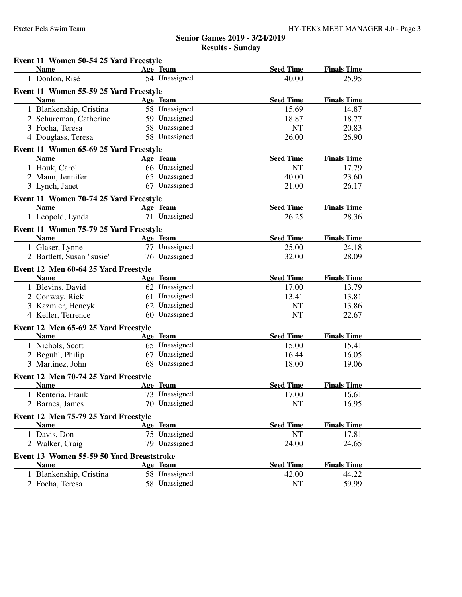**Event 11 Women 50-54 25 Yard Freestyle**

| <b>Name</b>                                           | Age Team      | <b>Seed Time</b> | <b>Finals Time</b> |  |
|-------------------------------------------------------|---------------|------------------|--------------------|--|
| 1 Donlon, Risé                                        | 54 Unassigned | 40.00            | 25.95              |  |
| Event 11 Women 55-59 25 Yard Freestyle                |               |                  |                    |  |
| <b>Name</b>                                           | Age Team      | <b>Seed Time</b> | <b>Finals Time</b> |  |
| 1 Blankenship, Cristina                               | 58 Unassigned | 15.69            | 14.87              |  |
| 2 Schureman, Catherine                                | 59 Unassigned | 18.87            | 18.77              |  |
| 3 Focha, Teresa                                       | 58 Unassigned | <b>NT</b>        | 20.83              |  |
| 4 Douglass, Teresa                                    | 58 Unassigned | 26.00            | 26.90              |  |
| Event 11 Women 65-69 25 Yard Freestyle                |               |                  |                    |  |
| <b>Name</b>                                           | Age Team      | <b>Seed Time</b> | <b>Finals Time</b> |  |
| 1 Houk, Carol                                         | 66 Unassigned | NT               | 17.79              |  |
| 2 Mann, Jennifer                                      | 65 Unassigned | 40.00            | 23.60              |  |
| 3 Lynch, Janet                                        | 67 Unassigned | 21.00            | 26.17              |  |
|                                                       |               |                  |                    |  |
| Event 11 Women 70-74 25 Yard Freestyle<br><b>Name</b> | Age Team      | <b>Seed Time</b> | <b>Finals Time</b> |  |
| 1 Leopold, Lynda                                      | 71 Unassigned | 26.25            | 28.36              |  |
|                                                       |               |                  |                    |  |
| Event 11 Women 75-79 25 Yard Freestyle                |               |                  |                    |  |
| <b>Name</b>                                           | Age Team      | <b>Seed Time</b> | <b>Finals Time</b> |  |
| 1 Glaser, Lynne                                       | 77 Unassigned | 25.00            | 24.18              |  |
| 2 Bartlett, Susan "susie"                             | 76 Unassigned | 32.00            | 28.09              |  |
| Event 12 Men 60-64 25 Yard Freestyle                  |               |                  |                    |  |
| <b>Name</b>                                           | Age Team      | <b>Seed Time</b> | <b>Finals Time</b> |  |
| 1 Blevins, David                                      | 62 Unassigned | 17.00            | 13.79              |  |
| 2 Conway, Rick                                        | 61 Unassigned | 13.41            | 13.81              |  |
| 3 Kazmier, Heneyk                                     | 62 Unassigned | <b>NT</b>        | 13.86              |  |
| 4 Keller, Terrence                                    | 60 Unassigned | <b>NT</b>        | 22.67              |  |
| Event 12 Men 65-69 25 Yard Freestyle                  |               |                  |                    |  |
| <b>Name</b>                                           | Age Team      | <b>Seed Time</b> | <b>Finals Time</b> |  |
| 1 Nichols, Scott                                      | 65 Unassigned | 15.00            | 15.41              |  |
| 2 Beguhl, Philip                                      | 67 Unassigned | 16.44            | 16.05              |  |
| 3 Martinez, John                                      | 68 Unassigned | 18.00            | 19.06              |  |
| Event 12 Men 70-74 25 Yard Freestyle                  |               |                  |                    |  |
| <b>Name</b>                                           | Age Team      | <b>Seed Time</b> | <b>Finals Time</b> |  |
| 1 Renteria, Frank                                     | 73 Unassigned | 17.00            | 16.61              |  |
| 2 Barnes, James                                       | 70 Unassigned | <b>NT</b>        | 16.95              |  |
| Event 12 Men 75-79 25 Yard Freestyle                  |               |                  |                    |  |
| <b>Name</b>                                           | Age Team      | <b>Seed Time</b> | <b>Finals Time</b> |  |
| 1 Davis, Don                                          | 75 Unassigned | <b>NT</b>        | 17.81              |  |
| 2 Walker, Craig                                       | 79 Unassigned | 24.00            | 24.65              |  |
|                                                       |               |                  |                    |  |
| Event 13 Women 55-59 50 Yard Breaststroke             |               |                  |                    |  |
| <b>Name</b>                                           | Age Team      | <b>Seed Time</b> | <b>Finals Time</b> |  |
| 1 Blankenship, Cristina                               | 58 Unassigned | 42.00            | 44.22              |  |
| 2 Focha, Teresa                                       | 58 Unassigned | NT               | 59.99              |  |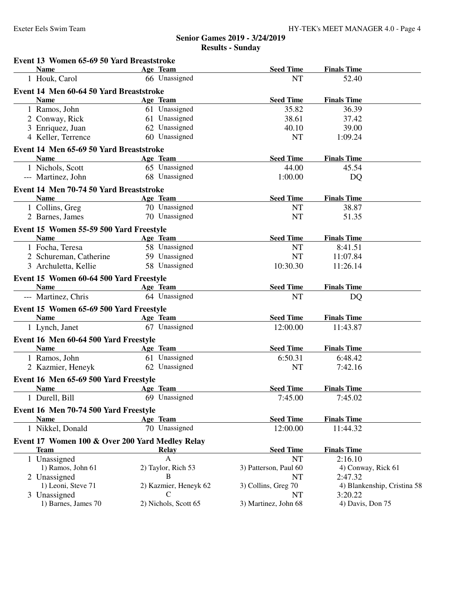| Event 13 Women 65-69 50 Yard Breaststroke       |                       |                       |                             |
|-------------------------------------------------|-----------------------|-----------------------|-----------------------------|
| <b>Name</b>                                     | Age Team              | <b>Seed Time</b>      | <b>Finals Time</b>          |
| 1 Houk, Carol                                   | 66 Unassigned         | <b>NT</b>             | 52.40                       |
| Event 14 Men 60-64 50 Yard Breaststroke         |                       |                       |                             |
| <b>Name</b>                                     | Age Team              | <b>Seed Time</b>      | <b>Finals Time</b>          |
| 1 Ramos, John                                   | 61 Unassigned         | 35.82                 | 36.39                       |
| 2 Conway, Rick                                  | 61 Unassigned         | 38.61                 | 37.42                       |
| 3 Enriquez, Juan                                | 62 Unassigned         | 40.10                 | 39.00                       |
| 4 Keller, Terrence                              | 60 Unassigned         | NT                    | 1:09.24                     |
| Event 14 Men 65-69 50 Yard Breaststroke         |                       |                       |                             |
| <b>Name</b>                                     | Age Team              | <b>Seed Time</b>      | <b>Finals Time</b>          |
| 1 Nichols, Scott                                | 65 Unassigned         | 44.00                 | 45.54                       |
| --- Martinez, John                              | 68 Unassigned         | 1:00.00               | DQ                          |
| Event 14 Men 70-74 50 Yard Breaststroke         |                       |                       |                             |
| <b>Name</b>                                     | Age Team              | <b>Seed Time</b>      | <b>Finals Time</b>          |
| 1 Collins, Greg                                 | 70 Unassigned         | <b>NT</b>             | 38.87                       |
| 2 Barnes, James                                 | 70 Unassigned         | <b>NT</b>             | 51.35                       |
| Event 15 Women 55-59 500 Yard Freestyle         |                       |                       |                             |
| <b>Example 2</b> Age Team<br><b>Name</b>        |                       | <b>Seed Time</b>      | <b>Finals Time</b>          |
| 1 Focha, Teresa                                 | 58 Unassigned         | <b>NT</b>             | 8:41.51                     |
| 2 Schureman, Catherine                          | 59 Unassigned         | <b>NT</b>             | 11:07.84                    |
| 3 Archuletta, Kellie                            | 58 Unassigned         | 10:30.30              | 11:26.14                    |
| Event 15 Women 60-64 500 Yard Freestyle         |                       |                       |                             |
| <b>Name</b><br><b>Example 2</b> Age Team        |                       | <b>Seed Time</b>      | <b>Finals Time</b>          |
| --- Martinez, Chris                             | 64 Unassigned         | <b>NT</b>             | DQ                          |
| Event 15 Women 65-69 500 Yard Freestyle         |                       |                       |                             |
| <b>Name</b>                                     | Age Team              | <b>Seed Time</b>      | <b>Finals Time</b>          |
| 1 Lynch, Janet                                  | 67 Unassigned         | 12:00.00              | 11:43.87                    |
| Event 16 Men 60-64 500 Yard Freestyle           |                       |                       |                             |
| <b>Name</b>                                     | Age Team              | <b>Seed Time</b>      | <b>Finals Time</b>          |
| 1 Ramos, John                                   | 61 Unassigned         | 6:50.31               | 6:48.42                     |
| 2 Kazmier, Heneyk                               | 62 Unassigned         | <b>NT</b>             | 7:42.16                     |
| Event 16 Men 65-69 500 Yard Freestyle           |                       |                       |                             |
| <b>Name</b>                                     | Age Team              | <b>Seed Time</b>      | <b>Finals Time</b>          |
| 1 Durell, Bill                                  | 69 Unassigned         | 7:45.00               | 7:45.02                     |
| Event 16 Men 70-74 500 Yard Freestyle           |                       |                       |                             |
| <b>Name</b>                                     | Age Team              | <b>Seed Time</b>      | <b>Finals Time</b>          |
| 1 Nikkel, Donald                                | 70 Unassigned         | 12:00.00              | 11:44.32                    |
| Event 17 Women 100 & Over 200 Yard Medley Relay |                       |                       |                             |
| <b>Team</b>                                     | <b>Relay</b>          | <b>Seed Time</b>      | <b>Finals Time</b>          |
| 1 Unassigned                                    | A                     | <b>NT</b>             | 2:16.10                     |
| 1) Ramos, John 61                               | 2) Taylor, Rich 53    | 3) Patterson, Paul 60 | 4) Conway, Rick 61          |
| 2 Unassigned                                    | В                     | NT                    | 2:47.32                     |
| 1) Leoni, Steve 71                              | 2) Kazmier, Heneyk 62 | 3) Collins, Greg 70   | 4) Blankenship, Cristina 58 |
| 3 Unassigned                                    | C                     | NT                    | 3:20.22                     |
| 1) Barnes, James 70                             | 2) Nichols, Scott 65  | 3) Martinez, John 68  | 4) Davis, Don 75            |
|                                                 |                       |                       |                             |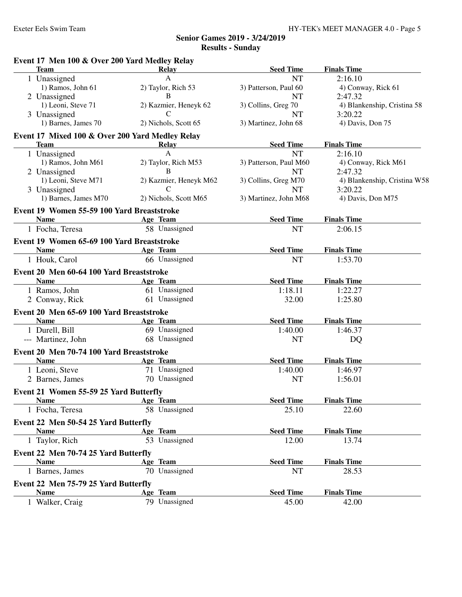| Event 17 Men 100 & Over 200 Yard Medley Relay<br><b>Team</b> | Relay                     | <b>Seed Time</b>       | <b>Finals Time</b>           |
|--------------------------------------------------------------|---------------------------|------------------------|------------------------------|
| 1 Unassigned                                                 | A                         | <b>NT</b>              | 2:16.10                      |
| 1) Ramos, John 61                                            | 2) Taylor, Rich 53        | 3) Patterson, Paul 60  | 4) Conway, Rick 61           |
| 2 Unassigned                                                 | B                         | <b>NT</b>              | 2:47.32                      |
| 1) Leoni, Steve 71                                           | 2) Kazmier, Heneyk 62     | 3) Collins, Greg 70    | 4) Blankenship, Cristina 58  |
| 3 Unassigned                                                 | C                         | <b>NT</b>              | 3:20.22                      |
| 1) Barnes, James 70                                          | 2) Nichols, Scott 65      | 3) Martinez, John 68   | 4) Davis, Don 75             |
| Event 17 Mixed 100 & Over 200 Yard Medley Relay              |                           |                        |                              |
| <b>Team</b>                                                  | Relay                     | <b>Seed Time</b>       | <b>Finals Time</b>           |
| 1 Unassigned                                                 | $\mathsf{A}$              | <b>NT</b>              | 2:16.10                      |
| 1) Ramos, John M61                                           | 2) Taylor, Rich M53       | 3) Patterson, Paul M60 | 4) Conway, Rick M61          |
| 2 Unassigned                                                 | B                         | <b>NT</b>              | 2:47.32                      |
| 1) Leoni, Steve M71                                          | 2) Kazmier, Heneyk M62    | 3) Collins, Greg M70   | 4) Blankenship, Cristina W58 |
| 3 Unassigned                                                 | $\mathcal{C}$             | <b>NT</b>              | 3:20.22                      |
| 1) Barnes, James M70                                         | 2) Nichols, Scott M65     | 3) Martinez, John M68  | 4) Davis, Don M75            |
| Event 19 Women 55-59 100 Yard Breaststroke                   |                           |                        |                              |
| <b>Name</b>                                                  | Age Team                  | <b>Seed Time</b>       | <b>Finals Time</b>           |
| 1 Focha, Teresa                                              | 58 Unassigned             | <b>NT</b>              | 2:06.15                      |
| Event 19 Women 65-69 100 Yard Breaststroke                   |                           |                        |                              |
| <b>Name</b>                                                  | Age Team                  | <b>Seed Time</b>       | <b>Finals Time</b>           |
| 1 Houk, Carol                                                | 66 Unassigned             | <b>NT</b>              | 1:53.70                      |
| Event 20 Men 60-64 100 Yard Breaststroke                     |                           |                        |                              |
| <b>Name</b>                                                  | Age Team                  | <b>Seed Time</b>       | <b>Finals Time</b>           |
| 1 Ramos, John                                                | 61 Unassigned             | 1:18.11                | 1:22.27                      |
| 2 Conway, Rick                                               | 61 Unassigned             | 32.00                  | 1:25.80                      |
| Event 20 Men 65-69 100 Yard Breaststroke                     |                           |                        |                              |
| <b>Name</b>                                                  | Age Team                  | <b>Seed Time</b>       | <b>Finals Time</b>           |
| 1 Durell, Bill                                               | 69 Unassigned             | 1:40.00                | 1:46.37                      |
| --- Martinez, John                                           | 68 Unassigned             | <b>NT</b>              | DQ                           |
| Event 20 Men 70-74 100 Yard Breaststroke                     |                           |                        |                              |
| <b>Name</b>                                                  | Age Team                  | <b>Seed Time</b>       | <b>Finals Time</b>           |
| 1 Leoni, Steve                                               | 71 Unassigned             | 1:40.00                | 1:46.97                      |
| 2 Barnes, James                                              | 70 Unassigned             | <b>NT</b>              | 1:56.01                      |
| Event 21 Women 55-59 25 Yard Butterfly                       |                           |                        |                              |
| <b>Name</b>                                                  | Age Team                  | <b>Seed Time</b>       | <b>Finals Time</b>           |
| 1 Focha, Teresa                                              | 58 Unassigned             | 25.10                  | 22.60                        |
| Event 22 Men 50-54 25 Yard Butterfly                         |                           |                        |                              |
| <b>Name</b>                                                  | Age Team                  | <b>Seed Time</b>       | <b>Finals Time</b>           |
| 1 Taylor, Rich                                               | 53 Unassigned             | 12.00                  | 13.74                        |
|                                                              |                           |                        |                              |
| Event 22 Men 70-74 25 Yard Butterfly                         |                           |                        |                              |
| <b>Name</b>                                                  | Age Team<br>70 Unassigned | <b>Seed Time</b>       | <b>Finals Time</b>           |
| 1 Barnes, James                                              |                           | <b>NT</b>              | 28.53                        |
| Event 22 Men 75-79 25 Yard Butterfly                         |                           |                        |                              |
| <b>Name</b>                                                  | Age Team                  | <b>Seed Time</b>       | <b>Finals Time</b>           |
| 1 Walker, Craig                                              | 79 Unassigned             | 45.00                  | 42.00                        |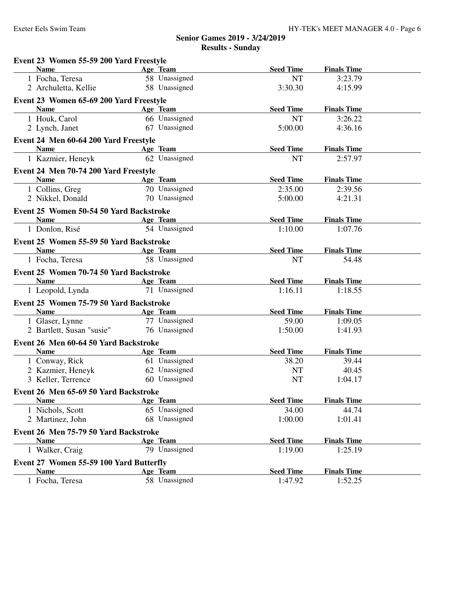| Event 23 Women 55-59 200 Yard Freestyle                |                           |                  |                    |  |
|--------------------------------------------------------|---------------------------|------------------|--------------------|--|
| <b>Name</b>                                            | Age Team                  | <b>Seed Time</b> | <b>Finals Time</b> |  |
| 1 Focha, Teresa                                        | 58 Unassigned             | <b>NT</b>        | 3:23.79            |  |
| 2 Archuletta, Kellie                                   | 58 Unassigned             | 3:30.30          | 4:15.99            |  |
| Event 23 Women 65-69 200 Yard Freestyle                |                           |                  |                    |  |
| <b>Name</b>                                            | Age Team                  | <b>Seed Time</b> | <b>Finals Time</b> |  |
| 1 Houk, Carol                                          | 66 Unassigned             | <b>NT</b>        | 3:26.22            |  |
| 2 Lynch, Janet                                         | 67 Unassigned             | 5:00.00          | 4:36.16            |  |
| Event 24 Men 60-64 200 Yard Freestyle                  |                           |                  |                    |  |
| <b>Name</b>                                            | Age Team                  | <b>Seed Time</b> | <b>Finals Time</b> |  |
| 1 Kazmier, Heneyk                                      | 62 Unassigned             | <b>NT</b>        | 2:57.97            |  |
| Event 24 Men 70-74 200 Yard Freestyle                  |                           |                  |                    |  |
| <b>Name</b><br><b>Example 2</b> Age Team               |                           | <b>Seed Time</b> | <b>Finals Time</b> |  |
| 1 Collins, Greg                                        | 70 Unassigned             | 2:35.00          | 2:39.56            |  |
| 2 Nikkel, Donald                                       | 70 Unassigned             | 5:00.00          | 4:21.31            |  |
| Event 25 Women 50-54 50 Yard Backstroke                |                           |                  |                    |  |
| Name $\qquad \qquad$                                   | Age Team                  | <b>Seed Time</b> | <b>Finals Time</b> |  |
| 1 Donlon, Risé                                         | 54 Unassigned             | 1:10.00          | 1:07.76            |  |
| Event 25 Women 55-59 50 Yard Backstroke                |                           |                  |                    |  |
| <b>Name</b>                                            | Age Team                  | <b>Seed Time</b> | <b>Finals Time</b> |  |
| 1 Focha, Teresa                                        | 58 Unassigned             | <b>NT</b>        | 54.48              |  |
| Event 25 Women 70-74 50 Yard Backstroke                |                           |                  |                    |  |
| <b>Name</b>                                            | Age Team                  | <b>Seed Time</b> | <b>Finals Time</b> |  |
| 1 Leopold, Lynda                                       | 71 Unassigned             | 1:16.11          | 1:18.55            |  |
|                                                        |                           |                  |                    |  |
| Event 25 Women 75-79 50 Yard Backstroke<br><b>Name</b> | Age Team                  | <b>Seed Time</b> | <b>Finals Time</b> |  |
| 1 Glaser, Lynne                                        | 77 Unassigned             | 59.00            | 1:09.05            |  |
| 2 Bartlett, Susan "susie"                              | 76 Unassigned             | 1:50.00          | 1:41.93            |  |
|                                                        |                           |                  |                    |  |
| Event 26 Men 60-64 50 Yard Backstroke<br><b>Name</b>   | Age Team                  | <b>Seed Time</b> | <b>Finals Time</b> |  |
| 1 Conway, Rick                                         | 61 Unassigned             | 38.20            | 39.44              |  |
| 2 Kazmier, Heneyk                                      | 62 Unassigned             | NT               | 40.45              |  |
| 3 Keller, Terrence                                     | 60 Unassigned             | <b>NT</b>        | 1:04.17            |  |
| Event 26 Men 65-69 50 Yard Backstroke                  |                           |                  |                    |  |
| <b>Name</b>                                            | Age Team                  | <b>Seed Time</b> | <b>Finals Time</b> |  |
| 1 Nichols, Scott                                       | 65 Unassigned             | 34.00            | 44.74              |  |
| 2 Martinez, John                                       | 68 Unassigned             | 1:00.00          | 1:01.41            |  |
|                                                        |                           |                  |                    |  |
| Event 26 Men 75-79 50 Yard Backstroke<br><b>Name</b>   |                           | <b>Seed Time</b> | <b>Finals Time</b> |  |
| 1 Walker, Craig                                        | Age Team<br>79 Unassigned | 1:19.00          | 1:25.19            |  |
|                                                        |                           |                  |                    |  |
| Event 27 Women 55-59 100 Yard Butterfly                |                           |                  |                    |  |
| <b>Name</b>                                            | Age Team                  | <b>Seed Time</b> | <b>Finals Time</b> |  |
| 1 Focha, Teresa                                        | 58 Unassigned             | 1:47.92          | 1:52.25            |  |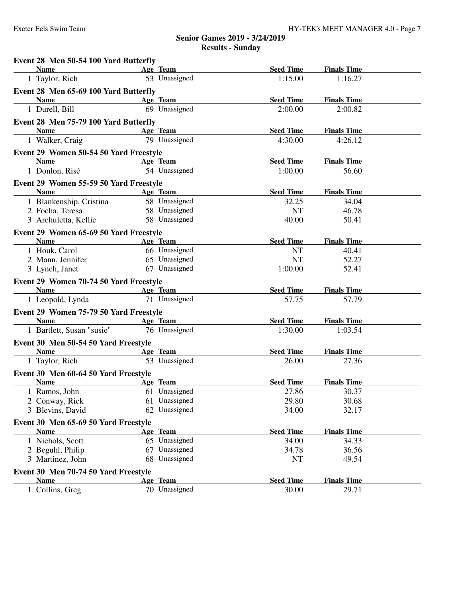| Event 28 Men 50-54 100 Yard Butterfly                             |                           |                  |                    |  |
|-------------------------------------------------------------------|---------------------------|------------------|--------------------|--|
| <b>Name</b><br><u> 1980 - Johann Barbara, martxa alemani</u> ar a | Age Team                  | <b>Seed Time</b> | <b>Finals Time</b> |  |
| 1 Taylor, Rich                                                    | 53 Unassigned             | 1:15.00          | 1:16.27            |  |
| Event 28 Men 65-69 100 Yard Butterfly                             |                           |                  |                    |  |
| <b>Name</b>                                                       | Age Team                  | <b>Seed Time</b> | <b>Finals Time</b> |  |
| 1 Durell, Bill                                                    | 69 Unassigned             | 2:00.00          | 2:00.82            |  |
| Event 28 Men 75-79 100 Yard Butterfly                             |                           |                  |                    |  |
| <b>Name</b>                                                       | Age Team                  | <b>Seed Time</b> | <b>Finals Time</b> |  |
| 1 Walker, Craig                                                   | 79 Unassigned             | 4:30.00          | 4:26.12            |  |
| Event 29 Women 50-54 50 Yard Freestyle                            |                           |                  |                    |  |
| <b>Name</b>                                                       | Age Team                  | <b>Seed Time</b> | <b>Finals Time</b> |  |
| 1 Donlon, Risé                                                    | 54 Unassigned             | 1:00.00          | 56.60              |  |
| Event 29 Women 55-59 50 Yard Freestyle                            |                           |                  |                    |  |
| <b>Name</b>                                                       | Age Team                  | <b>Seed Time</b> | <b>Finals Time</b> |  |
| 1 Blankenship, Cristina                                           | 58 Unassigned             | 32.25            | 34.04              |  |
| 2 Focha, Teresa                                                   | 58 Unassigned             | <b>NT</b>        | 46.78              |  |
| 3 Archuletta, Kellie                                              | 58 Unassigned             | 40.00            | 50.41              |  |
| Event 29 Women 65-69 50 Yard Freestyle                            |                           |                  |                    |  |
| <b>Name</b>                                                       | Age Team                  | <b>Seed Time</b> | <b>Finals Time</b> |  |
| 1 Houk, Carol                                                     | 66 Unassigned             | <b>NT</b>        | 40.41              |  |
| 2 Mann, Jennifer                                                  | 65 Unassigned             | <b>NT</b>        | 52.27              |  |
| 3 Lynch, Janet                                                    | 67 Unassigned             | 1:00.00          | 52.41              |  |
| Event 29 Women 70-74 50 Yard Freestyle                            |                           |                  |                    |  |
| <b>Name</b>                                                       | Age Team                  | <b>Seed Time</b> | <b>Finals Time</b> |  |
| 1 Leopold, Lynda                                                  | 71 Unassigned             | 57.75            | 57.79              |  |
| Event 29 Women 75-79 50 Yard Freestyle                            |                           |                  |                    |  |
| <b>Name</b>                                                       | Age Team                  | <b>Seed Time</b> | <b>Finals Time</b> |  |
| 1 Bartlett, Susan "susie"                                         | 76 Unassigned             | 1:30.00          | 1:03.54            |  |
| Event 30 Men 50-54 50 Yard Freestyle                              |                           |                  |                    |  |
| <b>Example 2</b> Age Team<br><b>Name</b>                          |                           | <b>Seed Time</b> | <b>Finals Time</b> |  |
| 1 Taylor, Rich                                                    | 53 Unassigned             | 26.00            | 27.36              |  |
| Event 30 Men 60-64 50 Yard Freestyle                              |                           |                  |                    |  |
| Name                                                              | Age Team                  | <b>Seed Time</b> | <b>Finals Time</b> |  |
| 1 Ramos, John                                                     | 61 Unassigned             | 27.86            | 30.37              |  |
| 2 Conway, Rick                                                    | 61 Unassigned             | 29.80            | 30.68              |  |
| 3 Blevins, David                                                  | 62 Unassigned             | 34.00            | 32.17              |  |
| Event 30 Men 65-69 50 Yard Freestyle                              |                           |                  |                    |  |
| <b>Name</b>                                                       | Age Team                  | <b>Seed Time</b> | <b>Finals Time</b> |  |
| 1 Nichols, Scott                                                  | 65 Unassigned             | 34.00            | 34.33              |  |
| 2 Beguhl, Philip                                                  | 67 Unassigned             | 34.78            | 36.56              |  |
| 3 Martinez, John                                                  | 68 Unassigned             | NT               | 49.54              |  |
|                                                                   |                           |                  |                    |  |
| Event 30 Men 70-74 50 Yard Freestyle<br><b>Name</b>               |                           | <b>Seed Time</b> | <b>Finals Time</b> |  |
|                                                                   | Age Team<br>70 Unassigned |                  |                    |  |
| 1 Collins, Greg                                                   |                           | 30.00            | 29.71              |  |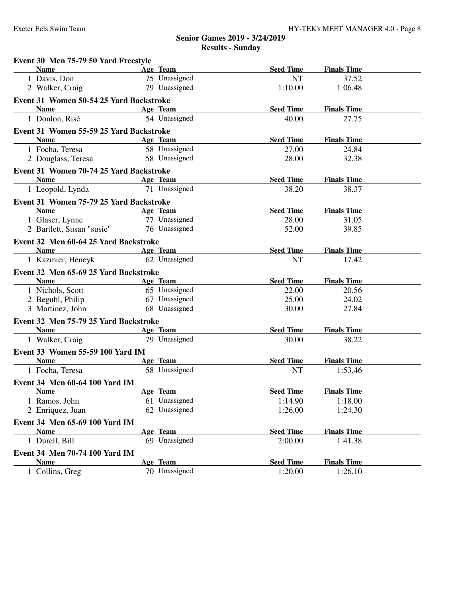| Event 30 Men 75-79 50 Yard Freestyle          |               |                  |                    |  |
|-----------------------------------------------|---------------|------------------|--------------------|--|
| <b>Name</b>                                   | Age Team      | <b>Seed Time</b> | <b>Finals Time</b> |  |
| 1 Davis, Don                                  | 75 Unassigned | <b>NT</b>        | 37.52              |  |
| 2 Walker, Craig                               | 79 Unassigned | 1:10.00          | 1:06.48            |  |
| Event 31 Women 50-54 25 Yard Backstroke       |               |                  |                    |  |
| <b>Name</b>                                   | Age Team      | <b>Seed Time</b> | <b>Finals Time</b> |  |
| 1 Donlon, Risé                                | 54 Unassigned | 40.00            | 27.75              |  |
| Event 31 Women 55-59 25 Yard Backstroke       |               |                  |                    |  |
| <b>Name</b>                                   | Age Team      | <b>Seed Time</b> | <b>Finals Time</b> |  |
| 1 Focha, Teresa                               | 58 Unassigned | 27.00            | 24.84              |  |
| 2 Douglass, Teresa                            | 58 Unassigned | 28.00            | 32.38              |  |
| Event 31 Women 70-74 25 Yard Backstroke       |               |                  |                    |  |
| Name                                          | Age Team      | <b>Seed Time</b> | <b>Finals Time</b> |  |
| 1 Leopold, Lynda                              | 71 Unassigned | 38.20            | 38.37              |  |
| Event 31 Women 75-79 25 Yard Backstroke       |               |                  |                    |  |
| <b>Name</b>                                   | Age Team      | <b>Seed Time</b> | <b>Finals Time</b> |  |
| 1 Glaser, Lynne                               | 77 Unassigned | 28.00            | 31.05              |  |
| 2 Bartlett, Susan "susie"                     | 76 Unassigned | 52.00            | 39.85              |  |
| Event 32 Men 60-64 25 Yard Backstroke         |               |                  |                    |  |
| <b>Name</b>                                   | Age Team      | <b>Seed Time</b> | <b>Finals Time</b> |  |
| 1 Kazmier, Heneyk                             | 62 Unassigned | <b>NT</b>        | 17.42              |  |
| Event 32 Men 65-69 25 Yard Backstroke         |               |                  |                    |  |
| <b>Name</b>                                   | Age Team      | <b>Seed Time</b> | <b>Finals Time</b> |  |
| 1 Nichols, Scott                              | 65 Unassigned | 22.00            | 20.56              |  |
| 2 Beguhl, Philip                              | 67 Unassigned | 25.00            | 24.02              |  |
| 3 Martinez, John                              | 68 Unassigned | 30.00            | 27.84              |  |
| Event 32 Men 75-79 25 Yard Backstroke         |               |                  |                    |  |
| <b>Name</b>                                   | Age Team      | <b>Seed Time</b> | <b>Finals Time</b> |  |
| 1 Walker, Craig                               | 79 Unassigned | 30.00            | 38.22              |  |
| Event 33 Women 55-59 100 Yard IM              |               |                  |                    |  |
| <b>Name</b>                                   | Age Team      | <b>Seed Time</b> | <b>Finals Time</b> |  |
| 1 Focha, Teresa                               | 58 Unassigned | <b>NT</b>        | 1:53.46            |  |
| Event 34 Men 60-64 100 Yard IM                |               |                  |                    |  |
| <u>Name</u>                                   | Age Team      | <b>Seed Time</b> | <b>Finals Time</b> |  |
| 1 Ramos, John                                 | 61 Unassigned | 1:14.90          | 1:18.00            |  |
| 2 Enriquez, Juan                              | 62 Unassigned | 1:26.00          | 1:24.30            |  |
|                                               |               |                  |                    |  |
| Event 34 Men 65-69 100 Yard IM<br><b>Name</b> | Age Team      | <b>Seed Time</b> | <b>Finals Time</b> |  |
| 1 Durell, Bill                                | 69 Unassigned | 2:00.00          | 1:41.38            |  |
|                                               |               |                  |                    |  |
| Event 34 Men 70-74 100 Yard IM                |               |                  |                    |  |
| <b>Name</b>                                   | Age Team      | <b>Seed Time</b> | <b>Finals Time</b> |  |
| 1 Collins, Greg                               | 70 Unassigned | 1:20.00          | 1:26.10            |  |